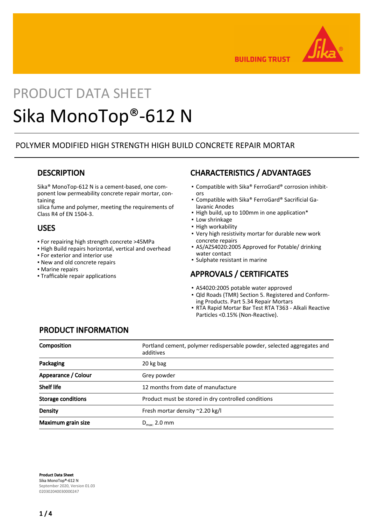

**BUILDING TRUST** 

# PRODUCT DATA SHEET Sika MonoTop®-612 N

## POLYMER MODIFIED HIGH STRENGTH HIGH BUILD CONCRETE REPAIR MORTAR

### **DESCRIPTION**

Sika® MonoTop-612 N is a cement-based, one component low permeability concrete repair mortar, containing

silica fume and polymer, meeting the requirements of Class R4 of EN 1504-3.

### USES

- For repairing high strength concrete >45MPa
- High Build repairs horizontal, vertical and overhead
- **For exterior and interior use**
- New and old concrete repairs
- **Marine repairs**
- Trafficable repair applications

# CHARACTERISTICS / ADVANTAGES

- Compatible with Sika® FerroGard® corrosion inhibitors
- Compatible with Sika® FerroGard® Sacrificial Galavanic Anodes
- High build, up to 100mm in one application\*
- Low shrinkage
- High workability
- Very high resistivity mortar for durable new work concrete repairs
- AS/AZS4020:2005 Approved for Potable/ drinking water contact
- Sulphate resistant in marine

## APPROVALS / CERTIFICATES

- AS4020:2005 potable water approved
- Qld Roads (TMR) Section 5. Registered and Conform-▪ ing Products. Part 5.34 Repair Mortars
- RTA Rapid Mortar Bar Test RTA T363 Alkali Reactive Particles <0.15% (Non-Reactive).

## PRODUCT INFORMATION

| <b>Composition</b>        | Portland cement, polymer redispersable powder, selected aggregates and<br>additives |
|---------------------------|-------------------------------------------------------------------------------------|
| Packaging                 | 20 kg bag                                                                           |
| Appearance / Colour       | Grey powder                                                                         |
| <b>Shelf life</b>         | 12 months from date of manufacture                                                  |
| <b>Storage conditions</b> | Product must be stored in dry controlled conditions                                 |
| Density                   | Fresh mortar density ~2.20 kg/l                                                     |
| Maximum grain size        | $D_{\text{max}}$ 2.0 mm                                                             |

Product Data Sheet Sika MonoTop®-612 N September 2020, Version 01.03 020302040030000247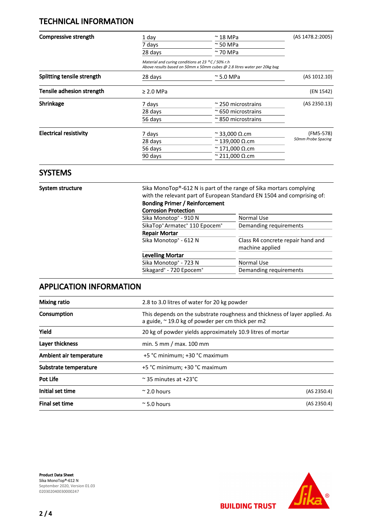# TECHNICAL INFORMATION

| Compressive strength          | 1 day<br>7 days<br>28 days                                                                                                              | $\sim$ 18 MPa<br>$\approx$ 50 MPa | (AS 1478.2:2005)   |
|-------------------------------|-----------------------------------------------------------------------------------------------------------------------------------------|-----------------------------------|--------------------|
|                               |                                                                                                                                         |                                   |                    |
|                               |                                                                                                                                         | $\approx$ 70 MPa                  |                    |
|                               | Material and curing conditions at 23 $^{\circ}$ C / 50% r.h<br>Above results based on 50mm x 50mm cubes @ 2.8 litres water per 20kg bag |                                   |                    |
| Splitting tensile strength    | 28 days                                                                                                                                 | $\approx$ 5.0 MPa                 | (AS 1012.10)       |
| Tensile adhesion strength     | $\geq$ 2.0 MPa                                                                                                                          |                                   | (EN 1542)          |
| Shrinkage                     | 7 days                                                                                                                                  | $\approx$ 250 microstrains        | (AS 2350.13)       |
|                               | 28 days                                                                                                                                 | $\approx$ 650 microstrains        |                    |
|                               | 56 days                                                                                                                                 | $\approx$ 850 microstrains        |                    |
| <b>Electrical resistivity</b> | 7 days                                                                                                                                  | $\approx$ 33,000 Q.cm             | (FM5-578)          |
|                               | 28 days                                                                                                                                 | $\approx$ 139,000 $\Omega$ .cm    | 50mm Probe Spacing |
|                               | 56 days                                                                                                                                 | $\approx$ 171,000 Q.cm            |                    |
|                               | 90 days                                                                                                                                 | $\approx$ 211,000 Q.cm            |                    |

### **SYSTEMS**

System structure Sika MonoTop®-612 N is part of the range of Sika mortars complying with the relevant part of European Standard EN 1504 and comprising of:

#### Bonding Primer / Reinforcement Corrosion Protection

| CUITUSIUIT FTULECLIUIT                          |                                                      |
|-------------------------------------------------|------------------------------------------------------|
| Sika Monotop® - 910 N                           | Normal Use                                           |
| SikaTop® Armatec® 110 Epocem®                   | Demanding requirements                               |
| <b>Repair Mortar</b>                            |                                                      |
| Sika Monotop <sup>®</sup> - 612 N               | Class R4 concrete repair hand and<br>machine applied |
| <b>Levelling Mortar</b>                         |                                                      |
| Sika Monotop® - 723 N                           | <b>Normal Use</b>                                    |
| Sikagard <sup>®</sup> - 720 Epocem <sup>®</sup> | Demanding requirements                               |
|                                                 |                                                      |

# APPLICATION INFORMATION

| Mixing ratio            | 2.8 to 3.0 litres of water for 20 kg powder                                                                                            |             |
|-------------------------|----------------------------------------------------------------------------------------------------------------------------------------|-------------|
| Consumption             | This depends on the substrate roughness and thickness of layer applied. As<br>a guide, $\approx$ 19.0 kg of powder per cm thick per m2 |             |
| Yield                   | 20 kg of powder yields approximately 10.9 litres of mortar                                                                             |             |
| Layer thickness         | min. 5 mm / max. $100$ mm                                                                                                              |             |
| Ambient air temperature | +5 °C minimum; +30 °C maximum                                                                                                          |             |
| Substrate temperature   | +5 °C minimum; +30 °C maximum                                                                                                          |             |
| Pot Life                | $\approx$ 35 minutes at +23°C                                                                                                          |             |
| Initial set time        | $\approx$ 2.0 hours                                                                                                                    | (AS 2350.4) |
| <b>Final set time</b>   | $\approx$ 5.0 hours                                                                                                                    | (AS 2350.4) |

Product Data Sheet Sika MonoTop®-612 N September 2020, Version 01.03 020302040030000247



**BUILDING TRUST**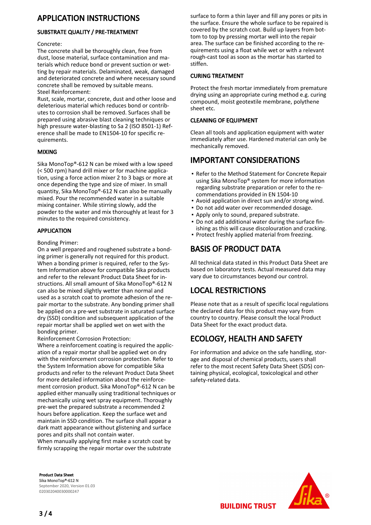# APPLICATION INSTRUCTIONS

#### SUBSTRATE QUALITY / PRE-TREATMENT

#### Concrete:

The concrete shall be thoroughly clean, free from dust, loose material, surface contamination and materials which reduce bond or prevent suction or wetting by repair materials. Delaminated, weak, damaged and deteriorated concrete and where necessary sound concrete shall be removed by suitable means. Steel Reinforcement:

Rust, scale, mortar, concrete, dust and other loose and deleterious material which reduces bond or contributes to corrosion shall be removed. Surfaces shall be prepared using abrasive blast cleaning techniques or high pressure water-blasting to Sa 2 (ISO 8501-1) Reference shall be made to EN1504-10 for specific requirements.

#### MIXING

Sika MonoTop®-612 N can be mixed with a low speed (< 500 rpm) hand drill mixer or for machine application, using a force action mixer 2 to 3 bags or more at once depending the type and size of mixer. In small quantity, Sika MonoTop®-612 N can also be manually mixed. Pour the recommended water in a suitable mixing container. While stirring slowly, add the powder to the water and mix thoroughly at least for 3 minutes to the required consistency.

#### APPLICATION

#### Bonding Primer:

On a well prepared and roughened substrate a bonding primer is generally not required for this product. When a bonding primer is required, refer to the System Information above for compatible Sika products and refer to the relevant Product Data Sheet for instructions. All small amount of Sika MonoTop®-612 N can also be mixed slightly wetter than normal and used as a scratch coat to promote adhesion of the repair mortar to the substrate. Any bonding primer shall be applied on a pre-wet substrate in saturated surface dry (SSD) condition and subsequent application of the repair mortar shall be applied wet on wet with the bonding primer.

Reinforcement Corrosion Protection:

Where a reinforcement coating is required the application of a repair mortar shall be applied wet on dry with the reinforcement corrosion protection. Refer to the System Information above for compatible Sika products and refer to the relevant Product Data Sheet for more detailed information about the reinforcement corrosion product. Sika MonoTop®-612 N can be applied either manually using traditional techniques or mechanically using wet spray equipment. Thoroughly pre-wet the prepared substrate a recommended 2 hours before application. Keep the surface wet and maintain in SSD condition. The surface shall appear a dark matt appearance without glistening and surface pores and pits shall not contain water.

When manually applying first make a scratch coat by firmly scrapping the repair mortar over the substrate surface to form a thin layer and fill any pores or pits in the surface. Ensure the whole surface to be repaired is covered by the scratch coat. Build up layers from bottom to top by pressing mortar well into the repair area. The surface can be finished according to the requirements using a float while wet or with a relevant rough-cast tool as soon as the mortar has started to stiffen.

#### CURING TREATMENT

Protect the fresh mortar immediately from premature drying using an appropriate curing method e.g. curing compound, moist geotextile membrane, polythene sheet etc.

#### CLEANING OF EQUIPMENT

Clean all tools and application equipment with water immediately after use. Hardened material can only be mechanically removed.

# IMPORTANT CONSIDERATIONS

- Refer to the Method Statement for Concrete Repair using Sika MonoTop® system for more information regarding substrate preparation or refer to the recommendations provided in EN 1504-10
- Avoid application in direct sun and/or strong wind.
- Do not add water over recommended dosage.
- Apply only to sound, prepared substrate.
- Do not add additional water during the surface fin-▪ ishing as this will cause discolouration and cracking.
- Protect freshly applied material from freezing.

# BASIS OF PRODUCT DATA

All technical data stated in this Product Data Sheet are based on laboratory tests. Actual measured data may vary due to circumstances beyond our control.

## LOCAL RESTRICTIONS

Please note that as a result of specific local regulations the declared data for this product may vary from country to country. Please consult the local Product Data Sheet for the exact product data.

# ECOLOGY, HEALTH AND SAFETY

**BUILDING TRUST** 

For information and advice on the safe handling, storage and disposal of chemical products, users shall refer to the most recent Safety Data Sheet (SDS) containing physical, ecological, toxicological and other safety-related data.

Product Data Sheet Sika MonoTop®-612 N September 2020, Version 01.03 020302040030000247